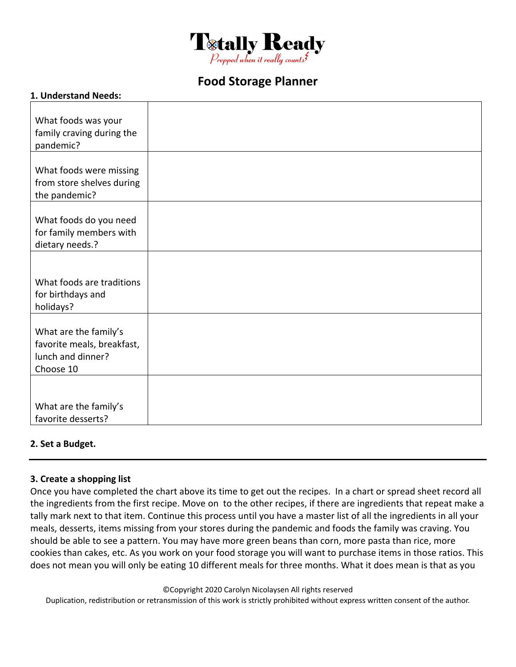

# **Food Storage Planner**

#### **1. Understand Needs:**

| What foods was your<br>family craving during the<br>pandemic?                         |  |
|---------------------------------------------------------------------------------------|--|
| What foods were missing<br>from store shelves during<br>the pandemic?                 |  |
| What foods do you need<br>for family members with<br>dietary needs.?                  |  |
|                                                                                       |  |
| What foods are traditions<br>for birthdays and<br>holidays?                           |  |
| What are the family's<br>favorite meals, breakfast,<br>lunch and dinner?<br>Choose 10 |  |
|                                                                                       |  |
| What are the family's<br>favorite desserts?                                           |  |

#### **2. Set a Budget.**

#### **3. Create a shopping list**

Once you have completed the chart above its time to get out the recipes. In a chart or spread sheet record all the ingredients from the first recipe. Move on to the other recipes, if there are ingredients that repeat make a tally mark next to that item. Continue this process until you have a master list of all the ingredients in all your meals, desserts, items missing from your stores during the pandemic and foods the family was craving. You should be able to see a pattern. You may have more green beans than corn, more pasta than rice, more cookies than cakes, etc. As you work on your food storage you will want to purchase items in those ratios. This does not mean you will only be eating 10 different meals for three months. What it does mean is that as you

©Copyright 2020 Carolyn Nicolaysen All rights reserved

Duplication, redistribution or retransmission of this work is strictly prohibited without express written consent of the author.